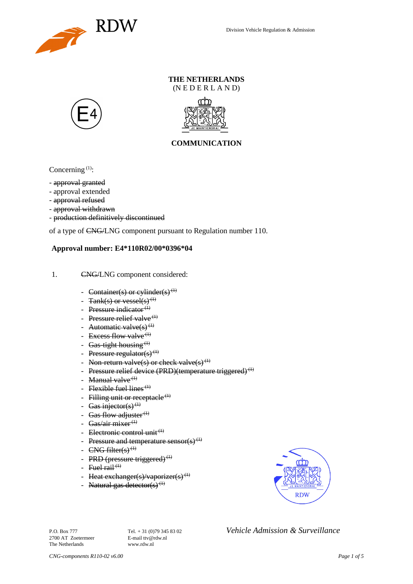

### **THE NETHERLANDS** (N E D E R L A N D)





## **COMMUNICATION**

Concerning  $(1)$ :

- approval granted
- approval extended
- approval refused
- approval withdrawn
- production definitively discontinued

of a type of CNG/LNG component pursuant to Regulation number 110.

### **Approval number: E4\*110R02/00\*0396\*04**

- 1. CNG/LNG component considered:
	- Container(s) or cylinder(s)<sup>(1)</sup>
	- $Tank(s)$  or vessel(s)<sup>(1)</sup>
	- Pressure indicator $(1)$
	- Pressure relief valve<sup> $(1)$ </sup>
	- Automatic valve $(s)$ <sup>(1)</sup>
	- Excess flow valve $(1)$
	- Gas-tight housing<sup> $(1)$ </sup>
	- Pressure regulator(s) $(1)$
	- Non-return valve(s) or check valve(s)<sup>(1)</sup>
	- Pressure relief device (PRD)(temperature triggered)<sup>(1)</sup>
	- Manual valve $<sup>(1)</sup>$ </sup>
	- Flexible fuel lines<sup> $(1)$ </sup>
	- Filling unit or receptacle  $(1)$
	- Gas injector(s)<sup>(1)</sup>
	- Gas flow adjuster $^{(1)}$
	- Gas/air mixer<sup>(1)</sup>
	- Electronic control unit<sup>(1)</sup>
	- Pressure and temperature sensor(s)<sup>(1)</sup>
	- $CNG$  filter(s)<sup>(1)</sup>
	- PRD (pressure triggered) $<sup>(1)</sup>$ </sup>
	- Fuel rail  $(1)$
	- Heat exchanger(s)/vaporizer(s)<sup>(1)</sup>
	- Natural gas detector(s)<sup>(1)</sup>



2700 AT Zoetermeer The Netherlands www.rdw.nl

P.O. Box 777<br> **P.O. Box 777** Tel. + 31 (0)79 345 83 02 *Vehicle Admission & Surveillance*<br>
F-mail tty@rdw.nl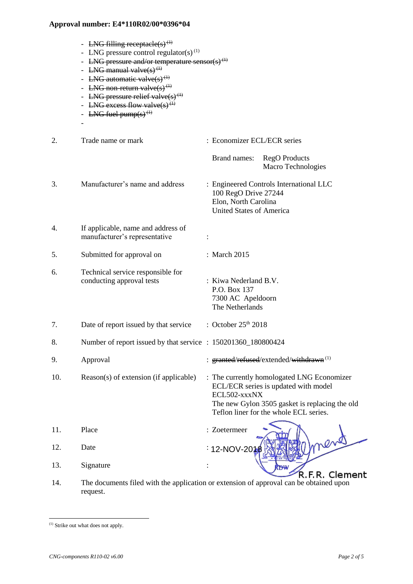- LNG filling receptacle(s)<sup>(1)</sup>
- LNG pressure control regulator(s)<sup>(1)</sup>
- LNG pressure and/or temperature sensor(s)<sup> $(t)$ </sup>
- LNG manual valve $(s)$ <sup>(1)</sup>
- LNG automatic valve $(s)$ <sup>(1)</sup>
- LNG non-return valve $(s)$ <sup>(1)</sup>
- LNG pressure relief valve $(s)$ <sup>(1)</sup>
- LNG excess flow valve(s)<sup>(1)</sup>
- LNG fuel pump $(s)$ <sup> $(1)$ </sup>

-

- 2. Trade name or mark : Economizer ECL/ECR series Brand names: RegO Products Macro Technologies 3. Manufacturer's name and address : Engineered Controls International LLC 100 RegO Drive 27244 Elon, North Carolina United States of America 4. If applicable, name and address of manufacturer's representative : 5. Submitted for approval on : March 2015 6. Technical service responsible for conducting approval tests : Kiwa Nederland B.V. P.O. Box 137 7300 AC Apeldoorn The Netherlands 7. Date of report issued by that service  $\therefore$  October 25<sup>th</sup> 2018 8. Number of report issued by that service : 150201360\_180800424 9. Approval : granted/refused/extended/withdrawn<sup>(1)</sup> 10. Reason(s) of extension (if applicable) : The currently homologated LNG Economizer ECL/ECR series is updated with model ECL502-xxxNX The new Gylon 3505 gasket is replacing the old Teflon liner for the whole ECL series. 11. Place : Zoetermeer 12. Date : 12-NOV-2018
- 13. Signature
- R.F.R. Clement 14. The documents filed with the application or extension of approval can be obtained upon request.

l

<sup>(1)</sup> Strike out what does not apply.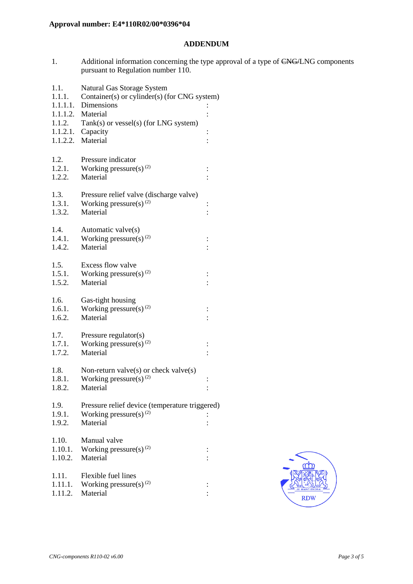### **ADDENDUM**

1. Additional information concerning the type approval of a type of CNG/LNG components pursuant to Regulation number 110.

| 1.1.<br>1.1.1.   | Natural Gas Storage System<br>Container(s) or cylinder(s) (for CNG system) |          |  |
|------------------|----------------------------------------------------------------------------|----------|--|
|                  | 1.1.1.1. Dimensions                                                        |          |  |
|                  | 1.1.1.2. Material                                                          |          |  |
| 1.1.2.           | Tank(s) or vessel(s) (for LNG system)                                      |          |  |
|                  | $1.1.2.1.$ Capacity                                                        |          |  |
|                  | 1.1.2.2. Material                                                          |          |  |
|                  |                                                                            |          |  |
| 1.2.             | Pressure indicator                                                         |          |  |
| 1.2.1.<br>1.2.2. | Working pressure(s) $(2)$<br>Material                                      | $\vdots$ |  |
|                  |                                                                            |          |  |
| 1.3.             | Pressure relief valve (discharge valve)                                    |          |  |
| 1.3.1.           | Working pressure(s) $^{(2)}$                                               | $\vdots$ |  |
| 1.3.2.           | Material                                                                   |          |  |
|                  |                                                                            |          |  |
| 1.4.             | Automatic valve(s)                                                         |          |  |
| 1.4.1.           | Working pressure(s) $^{(2)}$<br>Material                                   |          |  |
| 1.4.2.           |                                                                            |          |  |
| 1.5.             | Excess flow valve                                                          |          |  |
| 1.5.1.           | Working pressure(s) $^{(2)}$                                               |          |  |
| 1.5.2.           | Material                                                                   |          |  |
|                  |                                                                            |          |  |
| 1.6.             | Gas-tight housing                                                          |          |  |
| 1.6.1.           | Working pressure(s) $^{(2)}$                                               |          |  |
| 1.6.2.           | Material                                                                   |          |  |
| 1.7.             | Pressure regulator(s)                                                      |          |  |
| 1.7.1.           | Working pressure(s) <sup>(2)</sup>                                         |          |  |
| 1.7.2.           | Material                                                                   |          |  |
|                  |                                                                            |          |  |
| 1.8.             | Non-return valve(s) or check valve(s)                                      |          |  |
| 1.8.1.           | Working pressure(s) $^{(2)}$                                               |          |  |
| 1.8.2.           | Material                                                                   |          |  |
| 1.9.             | Pressure relief device (temperature triggered)                             |          |  |
| 1.9.1.           | Working pressure(s) $(2)$                                                  |          |  |
| 1.9.2.           | Material                                                                   |          |  |
|                  |                                                                            |          |  |
| 1.10.            | Manual valve                                                               |          |  |
| 1.10.1.          | Working pressure(s) <sup>(2)</sup>                                         |          |  |
| 1.10.2.          | Material                                                                   |          |  |
| 1.11.            | Flexible fuel lines                                                        |          |  |
| 1.11.1.          | Working pressure(s) $(2)$                                                  |          |  |
| 1.11.2.          | Material                                                                   |          |  |
|                  |                                                                            |          |  |

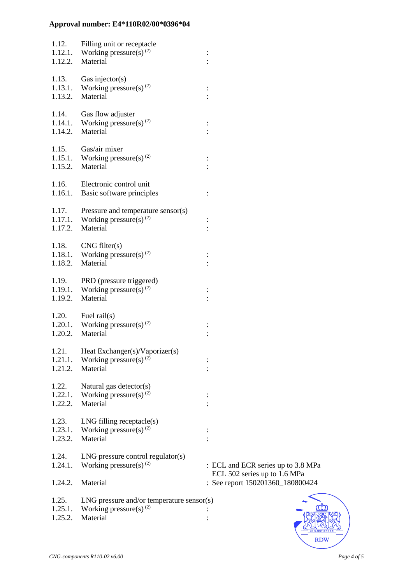| 1.12.<br>1.12.1.<br>1.12.2. | Filling unit or receptacle<br>Working pressure(s) $^{(2)}$<br>Material                | ÷                                                                |
|-----------------------------|---------------------------------------------------------------------------------------|------------------------------------------------------------------|
| 1.13.<br>1.13.1.<br>1.13.2. | Gas injector( $s$ )<br>Working pressure(s) <sup>(2)</sup><br>Material                 | $\vdots$                                                         |
| 1.14.<br>1.14.1.<br>1.14.2. | Gas flow adjuster<br>Working pressure(s) <sup>(2)</sup><br>Material                   |                                                                  |
| 1.15.<br>1.15.1.<br>1.15.2. | Gas/air mixer<br>Working pressure(s) $^{(2)}$<br>Material                             |                                                                  |
| 1.16.<br>1.16.1.            | Electronic control unit<br>Basic software principles                                  | $\ddot{\cdot}$                                                   |
| 1.17.<br>1.17.1.<br>1.17.2. | Pressure and temperature sensor(s)<br>Working pressure(s) $^{(2)}$<br>Material        | $\vdots$                                                         |
| 1.18.<br>1.18.1.<br>1.18.2. | CNG filter(s)<br>Working pressure(s) $^{(2)}$<br>Material                             | ÷                                                                |
| 1.19.<br>1.19.1.<br>1.19.2. | PRD (pressure triggered)<br>Working pressure(s) <sup>(2)</sup><br>Material            |                                                                  |
| 1.20.<br>1.20.1.<br>1.20.2. | Fuel rail $(s)$<br>Working pressure(s) <sup>(2)</sup><br>Material                     |                                                                  |
| 1.21.<br>1.21.1.<br>1.21.2. | Heat Exchanger(s)/Vaporizer(s)<br>Working pressure(s) $^{(2)}$<br>Material            |                                                                  |
| 1.22.<br>1.22.1.<br>1.22.2. | Natural gas detector(s)<br>Working pressure(s) $^{(2)}$<br>Material                   |                                                                  |
| 1.23.<br>1.23.1.<br>1.23.2. | $LNG$ filling receptacle $(s)$<br>Working pressure(s) $^{(2)}$<br>Material            |                                                                  |
| 1.24.<br>1.24.1.            | $LNG$ pressure control regulator(s)<br>Working pressure(s) $^{(2)}$                   | : ECL and ECR series up to 3.8 MPa                               |
| 1.24.2.                     | Material                                                                              | ECL 502 series up to 1.6 MPa<br>: See report 150201360_180800424 |
| 1.25.<br>1.25.1.<br>1.25.2. | LNG pressure and/or temperature sensor(s)<br>Working pressure(s) $^{(2)}$<br>Material |                                                                  |